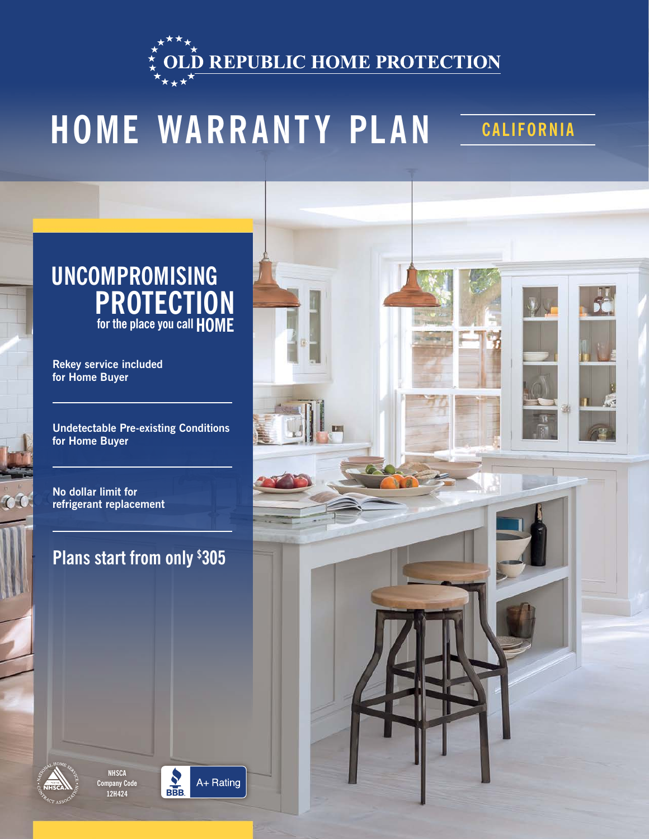**D REPUBLIC HOME PROTECTION** 

# **HOME WARRANTY PLAN** CALIFORNIA

### **UNCOMPROMISING PROTECTION for the place you call HOME**

**Rekey service included for Home Buyer**

**Undetectable Pre-existing Conditions for Home Buyer**

**No dollar limit for refrigerant replacement**

 $\mathcal{C}$ 

### **Plans start from only \$ 305**







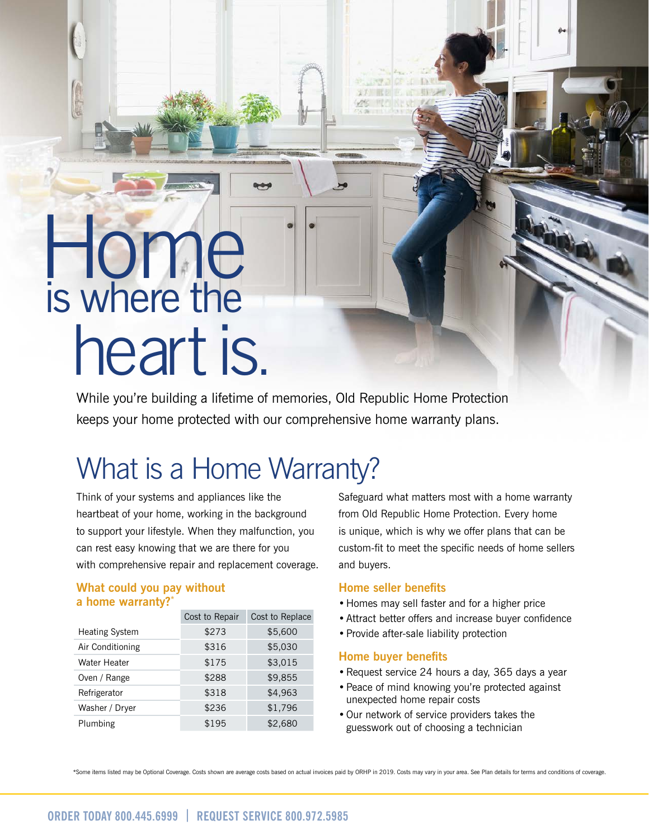# Home is where the heart is.

While you're building a lifetime of memories, Old Republic Home Protection keeps your home protected with our comprehensive home warranty plans.

### What is a Home Warranty?

Think of your systems and appliances like the heartbeat of your home, working in the background to support your lifestyle. When they malfunction, you can rest easy knowing that we are there for you with comprehensive repair and replacement coverage.

#### **What could you pay without a home warranty?\***

|                       | Cost to Repair | Cost to Replace |
|-----------------------|----------------|-----------------|
| <b>Heating System</b> | \$273          | \$5,600         |
| Air Conditioning      | \$316          | \$5,030         |
| Water Heater          | \$175          | \$3,015         |
| Oven / Range          | \$288          | \$9,855         |
| Refrigerator          | \$318          | \$4,963         |
| Washer / Dryer        | \$236          | \$1,796         |
| Plumbing              | \$195          | \$2,680         |

Safeguard what matters most with a home warranty from Old Republic Home Protection. Every home is unique, which is why we offer plans that can be custom-fit to meet the specific needs of home sellers and buyers.

#### **Home seller benefits**

- •Homes may sell faster and for a higher price
- •Attract better offers and increase buyer confidence
- •Provide after-sale liability protection

#### **Home buyer benefits**

- •Request service 24 hours a day, 365 days a year
- •Peace of mind knowing you're protected against unexpected home repair costs
- •Our network of service providers takes the guesswork out of choosing a technician

\*Some items listed may be Optional Coverage. Costs shown are average costs based on actual invoices paid by ORHP in 2019. Costs may vary in your area. See Plan details for terms and conditions of coverage.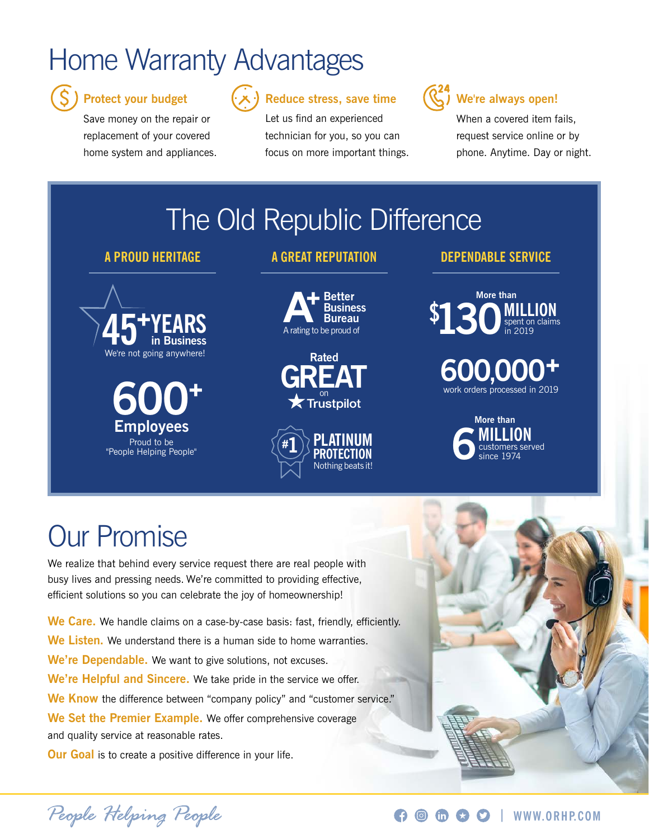### Home Warranty Advantages



#### **Protect your budget**

Save money on the repair or replacement of your covered home system and appliances.



### **Reduce stress, save time**

Let us find an experienced technician for you, so you can focus on more important things.



#### **We're always open!**

When a covered item fails. request service online or by phone. Anytime. Day or night.

### The Old Republic Difference



**Employees 600<sup>+</sup>** Proud to be "People Helping People"

#### **A PROUD HERITAGE DEPENDABLE SERVICE A GREAT REPUTATION**







### **600,000+** work orders processed in 2019



### Our Promise

We realize that behind every service request there are real people with busy lives and pressing needs. We're committed to providing effective, efficient solutions so you can celebrate the joy of homeownership!

**We Care.** We handle claims on a case-by-case basis: fast, friendly, efficiently. **We Listen.** We understand there is a human side to home warranties. **We're Dependable.** We want to give solutions, not excuses. **We're Helpful and Sincere.** We take pride in the service we offer. We Know the difference between "company policy" and "customer service." **We Set the Premier Example.** We offer comprehensive coverage and quality service at reasonable rates.

**Our Goal** is to create a positive difference in your life.

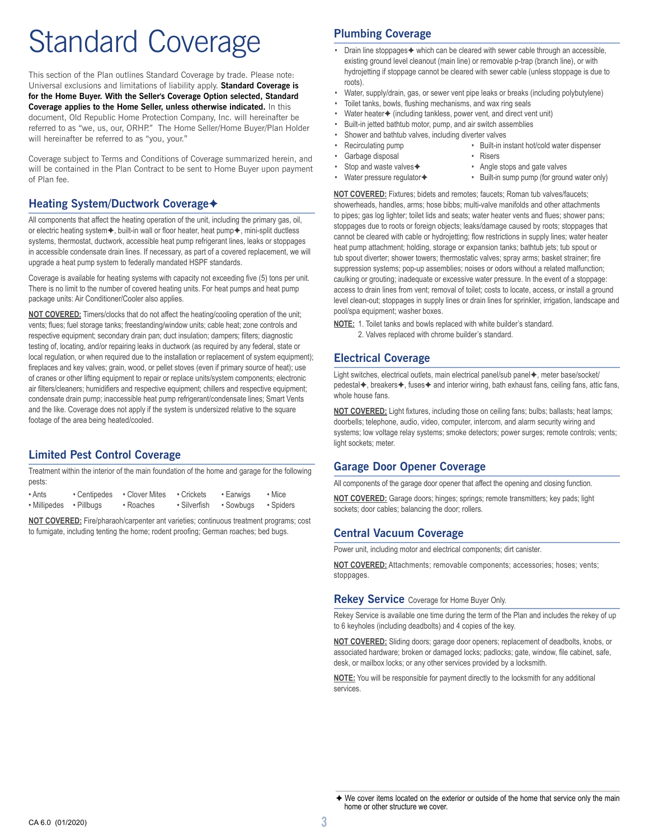# Standard Coverage

This section of the Plan outlines Standard Coverage by trade. Please note: Universal exclusions and limitations of liability apply. **Standard Coverage is for the Home Buyer. With the Seller's Coverage Option selected, Standard Coverage applies to the Home Seller, unless otherwise indicated.** In this document, Old Republic Home Protection Company, Inc. will hereinafter be referred to as "we, us, our, ORHP." The Home Seller/Home Buyer/Plan Holder will hereinafter be referred to as "you, your."

Coverage subject to Terms and Conditions of Coverage summarized herein, and will be contained in the Plan Contract to be sent to Home Buyer upon payment of Plan fee.

#### **Heating System/Ductwork Coverage**✦

All components that affect the heating operation of the unit, including the primary gas, oil, or electric heating system $\blacklozenge$ , built-in wall or floor heater, heat pump $\blacklozenge$ , mini-split ductless systems, thermostat, ductwork, accessible heat pump refrigerant lines, leaks or stoppages in accessible condensate drain lines. If necessary, as part of a covered replacement, we will upgrade a heat pump system to federally mandated HSPF standards.

Coverage is available for heating systems with capacity not exceeding five (5) tons per unit. There is no limit to the number of covered heating units. For heat pumps and heat pump package units: Air Conditioner/Cooler also applies.

**NOT COVERED:** Timers/clocks that do not affect the heating/cooling operation of the unit; vents; flues; fuel storage tanks; freestanding/window units; cable heat; zone controls and respective equipment; secondary drain pan; duct insulation; dampers; filters; diagnostic testing of, locating, and/or repairing leaks in ductwork (as required by any federal, state or local regulation, or when required due to the installation or replacement of system equipment); fireplaces and key valves; grain, wood, or pellet stoves (even if primary source of heat); use of cranes or other lifting equipment to repair or replace units/system components; electronic air filters/cleaners; humidifiers and respective equipment; chillers and respective equipment; condensate drain pump; inaccessible heat pump refrigerant/condensate lines; Smart Vents and the like. Coverage does not apply if the system is undersized relative to the square footage of the area being heated/cooled.

#### **Limited Pest Control Coverage**

Treatment within the interior of the main foundation of the home and garage for the following pests:

| • Ants                  | • Centipedes | • Clover Mites | • Crickets   | • Earwigs | • Mice    |  |
|-------------------------|--------------|----------------|--------------|-----------|-----------|--|
| • Millipedes • Pillbugs |              | • Roaches      | • Silverfish | • Sowbugs | • Spiders |  |

**NOT COVERED:** Fire/pharaoh/carpenter ant varieties; continuous treatment programs; cost to fumigate, including tenting the home; rodent proofing; German roaches; bed bugs.

#### **Plumbing Coverage**

- Drain line stoppages $\blacklozenge$  which can be cleared with sewer cable through an accessible, existing ground level cleanout (main line) or removable p-trap (branch line), or with hydrojetting if stoppage cannot be cleared with sewer cable (unless stoppage is due to roots).
- Water, supply/drain, gas, or sewer vent pipe leaks or breaks (including polybutylene)
- Toilet tanks, bowls, flushing mechanisms, and wax ring seals
- Water heater $\blacklozenge$  (including tankless, power vent, and direct vent unit)
- Built-in jetted bathtub motor, pump, and air switch assemblies
- Shower and bathtub valves, including diverter valves
- Recirculating pump Built-in instant hot/cold water dispenser
- Garbage disposal Risers
- Stop and waste valves ♦ Angle stops and gate valves
- 
- 
- Water pressure regulator **•** Built-in sump pump (for ground water only)

**NOT COVERED:** Fixtures; bidets and remotes; faucets; Roman tub valves/faucets; showerheads, handles, arms; hose bibbs; multi-valve manifolds and other attachments to pipes; gas log lighter; toilet lids and seats; water heater vents and flues; shower pans; stoppages due to roots or foreign objects; leaks/damage caused by roots; stoppages that cannot be cleared with cable or hydrojetting; flow restrictions in supply lines; water heater heat pump attachment; holding, storage or expansion tanks; bathtub jets; tub spout or tub spout diverter; shower towers; thermostatic valves; spray arms; basket strainer; fire suppression systems; pop-up assemblies; noises or odors without a related malfunction; caulking or grouting; inadequate or excessive water pressure. In the event of a stoppage: access to drain lines from vent; removal of toilet; costs to locate, access, or install a ground level clean-out; stoppages in supply lines or drain lines for sprinkler, irrigation, landscape and pool/spa equipment; washer boxes.

- **NOTE:** 1. Toilet tanks and bowls replaced with white builder's standard.
	- 2. Valves replaced with chrome builder's standard.

#### **Electrical Coverage**

Light switches, electrical outlets, main electrical panel/sub panel $\blacklozenge,$  meter base/socket/ pedestal  $\blacklozenge$ , breakers $\blacklozenge$ , fuses $\blacklozenge$  and interior wiring, bath exhaust fans, ceiling fans, attic fans, whole house fans.

**NOT COVERED:** Light fixtures, including those on ceiling fans; bulbs; ballasts; heat lamps; doorbells; telephone, audio, video, computer, intercom, and alarm security wiring and systems; low voltage relay systems; smoke detectors; power surges; remote controls; vents; light sockets; meter.

#### **Garage Door Opener Coverage**

All components of the garage door opener that affect the opening and closing function.

**NOT COVERED:** Garage doors; hinges; springs; remote transmitters; key pads; light sockets; door cables; balancing the door; rollers.

#### **Central Vacuum Coverage**

Power unit, including motor and electrical components; dirt canister.

**NOT COVERED:** Attachments; removable components; accessories; hoses; vents; stoppages.

**Rekey Service** Coverage for Home Buyer Only.

Rekey Service is available one time during the term of the Plan and includes the rekey of up to 6 keyholes (including deadbolts) and 4 copies of the key.

**NOT COVERED:** Sliding doors; garage door openers; replacement of deadbolts, knobs, or associated hardware; broken or damaged locks; padlocks; gate, window, file cabinet, safe, desk, or mailbox locks; or any other services provided by a locksmith.

**NOTE:** You will be responsible for payment directly to the locksmith for any additional services.

 $\overline{\blacklozenge}$  We cover items located on the exterior or outside of the home that service only the main home or other structure we cover.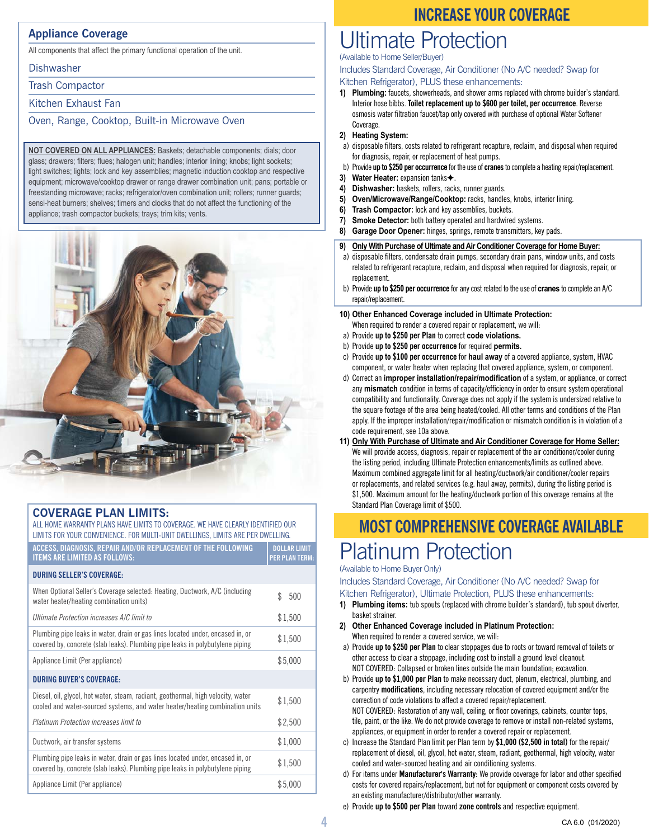#### **Appliance Coverage**

All components that affect the primary functional operation of the unit.

**Dishwasher** 

Trash Compactor

Kitchen Exhaust Fan

Oven, Range, Cooktop, Built-in Microwave Oven

**NOT COVERED ON ALL APPLIANCES:** Baskets; detachable components; dials; door glass; drawers; filters; flues; halogen unit; handles; interior lining; knobs; light sockets; light switches; lights; lock and key assemblies; magnetic induction cooktop and respective equipment; microwave/cooktop drawer or range drawer combination unit; pans; portable or freestanding microwave; racks; refrigerator/oven combination unit; rollers; runner guards; sensi-heat burners; shelves; timers and clocks that do not affect the functioning of the appliance; trash compactor buckets; trays; trim kits; vents.



| <b>COVERAGE PLAN LIMITS:</b> |  |
|------------------------------|--|
|                              |  |

| ALL HOME WARRANTY PLANS HAVE LIMITS TO COVERAGE. WE HAVE CLEARLY IDENTIFIED OUR<br>LIMITS FOR YOUR CONVENIENCE. FOR MULTI-UNIT DWELLINGS, LIMITS ARE PER DWELLING. |                                              |  |
|--------------------------------------------------------------------------------------------------------------------------------------------------------------------|----------------------------------------------|--|
| ACCESS, DIAGNOSIS, REPAIR AND/OR REPLACEMENT OF THE FOLLOWING<br><b>ITEMS ARE LIMITED AS FOLLOWS:</b>                                                              | <b>DOLLAR LIMIT</b><br><b>PER PLAN TERM:</b> |  |
| <b>DURING SELLER'S COVERAGE:</b>                                                                                                                                   |                                              |  |
| When Optional Seller's Coverage selected: Heating, Ductwork, A/C (including<br>water heater/heating combination units)                                             | \$.<br>500                                   |  |
| Ultimate Protection increases A/C limit to                                                                                                                         | \$1,500                                      |  |
| Plumbing pipe leaks in water, drain or gas lines located under, encased in, or<br>covered by, concrete (slab leaks). Plumbing pipe leaks in polybutylene piping    | \$1,500                                      |  |
| Appliance Limit (Per appliance)                                                                                                                                    | \$5,000                                      |  |
| <b>DURING BUYER'S COVERAGE:</b>                                                                                                                                    |                                              |  |
| Diesel, oil, glycol, hot water, steam, radiant, geothermal, high velocity, water<br>cooled and water-sourced systems, and water heater/heating combination units   | \$1,500                                      |  |
| <b>Platinum Protection increases limit to</b>                                                                                                                      | \$2,500                                      |  |
| Ductwork, air transfer systems                                                                                                                                     | \$1,000                                      |  |
| Plumbing pipe leaks in water, drain or gas lines located under, encased in, or<br>covered by, concrete (slab leaks). Plumbing pipe leaks in polybutylene piping    | \$1,500                                      |  |
| Appliance Limit (Per appliance)                                                                                                                                    | \$5,000                                      |  |

#### **INCREASE YOUR COVERAGE**

### Ultimate Protection

(Available to Home Seller/Buyer)

Includes Standard Coverage, Air Conditioner (No A/C needed? Swap for

Kitchen Refrigerator), PLUS these enhancements:

**1) Plumbing:** faucets, showerheads, and shower arms replaced with chrome builder's standard. Interior hose bibbs. **Toilet replacement up to \$600 per toilet, per occurrence**. Reverse osmosis water filtration faucet/tap only covered with purchase of optional Water Softener Coverage.

#### **2) Heating System:**

- a) disposable filters, costs related to refrigerant recapture, reclaim, and disposal when required
- for diagnosis, repair, or replacement of heat pumps. b) Provide **up to \$250 per occurrence** for the use of **cranes** to complete a heating repair/replacement.
- **3)** Water Heater: expansion tanks $\triangle$ .
- **4) Dishwasher:** baskets, rollers, racks, runner guards.
- **5) Oven/Microwave/Range/Cooktop:** racks, handles, knobs, interior lining.
- **6) Trash Compactor:** lock and key assemblies, buckets.
- **7) Smoke Detector:** both battery operated and hardwired systems.
- **8) Garage Door Opener:** hinges, springs, remote transmitters, key pads.
- **9) Only With Purchase of Ultimate and Air Conditioner Coverage for Home Buyer:**
- a) disposable filters, condensate drain pumps, secondary drain pans, window units, and costs related to refrigerant recapture, reclaim, and disposal when required for diagnosis, repair, or replacement.
- b) Provide **up to \$250 per occurrence** for any cost related to the use of **cranes** to complete an A/C repair/replacement.
- **10) Other Enhanced Coverage included in Ultimate Protection:** When required to render a covered repair or replacement, we will:
- a) Provide **up to \$250 per Plan** to correct **code violations.**
- b) Provide **up to \$250 per occurrence** for required **permits.**
- c) Provide **up to \$100 per occurrence** for **haul away** of a covered appliance, system, HVAC component, or water heater when replacing that covered appliance, system, or component.
- d) Correct an **improper installation/repair/modification** of a system, or appliance, or correct any **mismatch** condition in terms of capacity/efficiency in order to ensure system operational compatibility and functionality. Coverage does not apply if the system is undersized relative to the square footage of the area being heated/cooled. All other terms and conditions of the Plan apply. If the improper installation/repair/modification or mismatch condition is in violation of a code requirement, see 10a above.
- **11) Only With Purchase of Ultimate and Air Conditioner Coverage for Home Seller:** We will provide access, diagnosis, repair or replacement of the air conditioner/cooler during the listing period, including Ultimate Protection enhancements/limits as outlined above. Maximum combined aggregate limit for all heating/ductwork/air conditioner/cooler repairs or replacements, and related services (e.g. haul away, permits), during the listing period is \$1,500. Maximum amount for the heating/ductwork portion of this coverage remains at the Standard Plan Coverage limit of \$500.

### Platinum Protection **MOST COMPREHENSIVE COVERAGE AVAILABLE**

#### (Available to Home Buyer Only)

Includes Standard Coverage, Air Conditioner (No A/C needed? Swap for Kitchen Refrigerator), Ultimate Protection, PLUS these enhancements:

- **1) Plumbing items:** tub spouts (replaced with chrome builder's standard), tub spout diverter, basket strainer.
- **2) Other Enhanced Coverage included in Platinum Protection:** When required to render a covered service, we will:
- a) Provide **up to \$250 per Plan** to clear stoppages due to roots or toward removal of toilets or other access to clear a stoppage, including cost to install a ground level cleanout. NOT COVERED: Collapsed or broken lines outside the main foundation; excavation.
- b) Provide **up to \$1,000 per Plan** to make necessary duct, plenum, electrical, plumbing, and carpentry **modifications**, including necessary relocation of covered equipment and/or the correction of code violations to affect a covered repair/replacement. NOT COVERED: Restoration of any wall, ceiling, or floor coverings, cabinets, counter tops, tile, paint, or the like. We do not provide coverage to remove or install non-related systems, appliances, or equipment in order to render a covered repair or replacement.
- c) Increase the Standard Plan limit per Plan term by **\$1,000 (\$2,500 in total)** for the repair/ replacement of diesel, oil, glycol, hot water, steam, radiant, geothermal, high velocity, water cooled and water-sourced heating and air conditioning systems.
- d) For items under **Manufacturer's Warranty:** We provide coverage for labor and other specified costs for covered repairs/replacement, but not for equipment or component costs covered by an existing manufacturer/distributor/other warranty.
- e) Provide **up to \$500 per Plan** toward **zone controls** and respective equipment.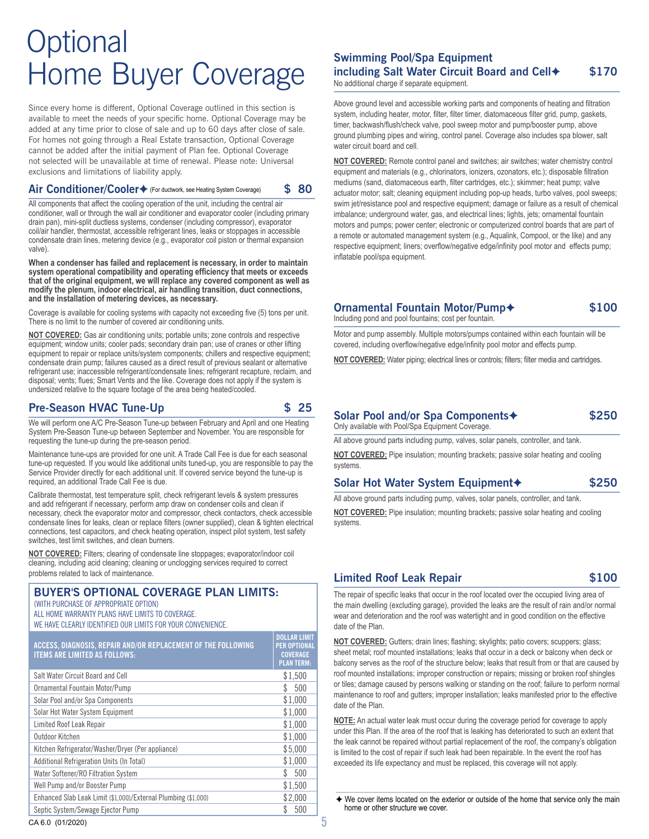### **Optional** Home Buyer Coverage

Since every home is different, Optional Coverage outlined in this section is available to meet the needs of your specific home. Optional Coverage may be added at any time prior to close of sale and up to 60 days after close of sale. For homes not going through a Real Estate transaction, Optional Coverage cannot be added after the initial payment of Plan fee. Optional Coverage not selected will be unavailable at time of renewal. Please note: Universal exclusions and limitations of liability apply.

#### Air Conditioner/Cooler◆ (For ductwork, see Heating System Coverage) \$ 80

All components that affect the cooling operation of the unit, including the central air conditioner, wall or through the wall air conditioner and evaporator cooler (including primary drain pan), mini-split ductless systems, condenser (including compressor), evaporator coil/air handler, thermostat, accessible refrigerant lines, leaks or stoppages in accessible condensate drain lines, metering device (e.g., evaporator coil piston or thermal expansion valve).

**When a condenser has failed and replacement is necessary, in order to maintain system operational compatibility and operating efficiency that meets or exceeds that of the original equipment, we will replace any covered component as well as modify the plenum, indoor electrical, air handling transition, duct connections, and the installation of metering devices, as necessary.**

Coverage is available for cooling systems with capacity not exceeding five (5) tons per unit. There is no limit to the number of covered air conditioning units.

**NOT COVERED:** Gas air conditioning units; portable units; zone controls and respective equipment; window units; cooler pads; secondary drain pan; use of cranes or other lifting equipment to repair or replace units/system components; chillers and respective equipment; condensate drain pump; failures caused as a direct result of previous sealant or alternative refrigerant use; inaccessible refrigerant/condensate lines; refrigerant recapture, reclaim, and disposal; vents; flues; Smart Vents and the like. Coverage does not apply if the system is undersized relative to the square footage of the area being heated/cooled.

#### **Pre-Season HVAC Tune-Up \$ 25**

We will perform one A/C Pre-Season Tune-up between February and April and one Heating System Pre-Season Tune-up between September and November. You are responsible for requesting the tune-up during the pre-season period.

Maintenance tune-ups are provided for one unit. A Trade Call Fee is due for each seasonal tune-up requested. If you would like additional units tuned-up, you are responsible to pay the Service Provider directly for each additional unit. If covered service beyond the tune-up is required, an additional Trade Call Fee is due.

Calibrate thermostat, test temperature split, check refrigerant levels & system pressures and add refrigerant if necessary, perform amp draw on condenser coils and clean if necessary, check the evaporator motor and compressor, check contactors, check accessible condensate lines for leaks, clean or replace filters (owner supplied), clean & tighten electrical connections, test capacitors, and check heating operation, inspect pilot system, test safety switches, test limit switches, and clean burners.

**NOT COVERED:** Filters; clearing of condensate line stoppages; evaporator/indoor coil cleaning, including acid cleaning; cleaning or unclogging services required to correct problems related to lack of maintenance.

#### **BUYER'S OPTIONAL COVERAGE PLAN LIMITS:**

(WITH PURCHASE OF APPROPRIATE OPTION)

ALL HOME WARRANTY PLANS HAVE LIMITS TO COVERAGE. WE HAVE CLEARLY IDENTIFIED OUR LIMITS FOR YOUR CONVENIENCE.

| ACCESS, DIAGNOSIS, REPAIR AND/OR REPLACEMENT OF THE FOLLOWING<br><b>ITEMS ARE LIMITED AS FOLLOWS:</b> | <b>DOLLAR LIMIT</b><br><b>PER OPTIONAL</b><br><b>COVERAGE</b><br><b>PLAN TERM:</b> |
|-------------------------------------------------------------------------------------------------------|------------------------------------------------------------------------------------|
| Salt Water Circuit Board and Cell                                                                     | \$1,500                                                                            |
| Ornamental Fountain Motor/Pump                                                                        | \$.<br>500                                                                         |
| Solar Pool and/or Spa Components                                                                      | \$1,000                                                                            |
| Solar Hot Water System Equipment                                                                      | \$1.000                                                                            |
| Limited Roof Leak Repair                                                                              | \$1,000                                                                            |
| Outdoor Kitchen                                                                                       | \$1,000                                                                            |
| Kitchen Refrigerator/Washer/Dryer (Per appliance)                                                     | \$5,000                                                                            |
| Additional Refrigeration Units (In Total)                                                             | \$1,000                                                                            |
| Water Softener/RO Filtration System                                                                   | \$.<br>500                                                                         |
| Well Pump and/or Booster Pump                                                                         | \$1.500                                                                            |
| Enhanced Slab Leak Limit (\$1,000)/External Plumbing (\$1,000)                                        | \$2,000                                                                            |
| Septic System/Sewage Ejector Pump                                                                     | 500                                                                                |

#### **Swimming Pool/Spa Equipment including Salt Water Circuit Board and Cell**✦ **\$170**

No additional charge if separate equipment.

Above ground level and accessible working parts and components of heating and filtration system, including heater, motor, filter, filter timer, diatomaceous filter grid, pump, gaskets, timer, backwash/flush/check valve, pool sweep motor and pump/booster pump, above ground plumbing pipes and wiring, control panel. Coverage also includes spa blower, salt water circuit board and cell.

**NOT COVERED:** Remote control panel and switches; air switches; water chemistry control equipment and materials (e.g., chlorinators, ionizers, ozonators, etc.); disposable filtration mediums (sand, diatomaceous earth, filter cartridges, etc.); skimmer; heat pump; valve actuator motor; salt; cleaning equipment including pop-up heads, turbo valves, pool sweeps; swim jet/resistance pool and respective equipment; damage or failure as a result of chemical imbalance; underground water, gas, and electrical lines; lights, jets; ornamental fountain motors and pumps; power center; electronic or computerized control boards that are part of a remote or automated management system (e.g., Aqualink, Compool, or the like) and any respective equipment; liners; overflow/negative edge/infinity pool motor and effects pump; inflatable pool/spa equipment.

#### **Ornamental Fountain Motor/Pump**✦ **\$100**

Including pond and pool fountains; cost per fountain.

Motor and pump assembly. Multiple motors/pumps contained within each fountain will be covered, including overflow/negative edge/infinity pool motor and effects pump.

**NOT COVERED:** Water piping; electrical lines or controls; filters; filter media and cartridges.

#### **Solar Pool and/or Spa Components**✦ **\$250**

Only available with Pool/Spa Equipment Coverage.

All above ground parts including pump, valves, solar panels, controller, and tank.

**NOT COVERED:** Pipe insulation; mounting brackets; passive solar heating and cooling systems.

#### **Solar Hot Water System Equipment**✦ **\$250**

All above ground parts including pump, valves, solar panels, controller, and tank.

**NOT COVERED:** Pipe insulation; mounting brackets; passive solar heating and cooling systems.

#### **Limited Roof Leak Repair \$100**

The repair of specific leaks that occur in the roof located over the occupied living area of the main dwelling (excluding garage), provided the leaks are the result of rain and/or normal wear and deterioration and the roof was watertight and in good condition on the effective date of the Plan.

**NOT COVERED:** Gutters; drain lines; flashing; skylights; patio covers; scuppers; glass; sheet metal; roof mounted installations; leaks that occur in a deck or balcony when deck or balcony serves as the roof of the structure below; leaks that result from or that are caused by roof mounted installations; improper construction or repairs; missing or broken roof shingles or tiles; damage caused by persons walking or standing on the roof; failure to perform normal maintenance to roof and gutters; improper installation; leaks manifested prior to the effective date of the Plan.

**NOTE:** An actual water leak must occur during the coverage period for coverage to apply under this Plan. If the area of the roof that is leaking has deteriorated to such an extent that the leak cannot be repaired without partial replacement of the roof, the company's obligation is limited to the cost of repair if such leak had been repairable. In the event the roof has exceeded its life expectancy and must be replaced, this coverage will not apply.

◆ We cover items located on the exterior or outside of the home that service only the main home or other structure we cover.

CA 6.0 (01/2020) **5**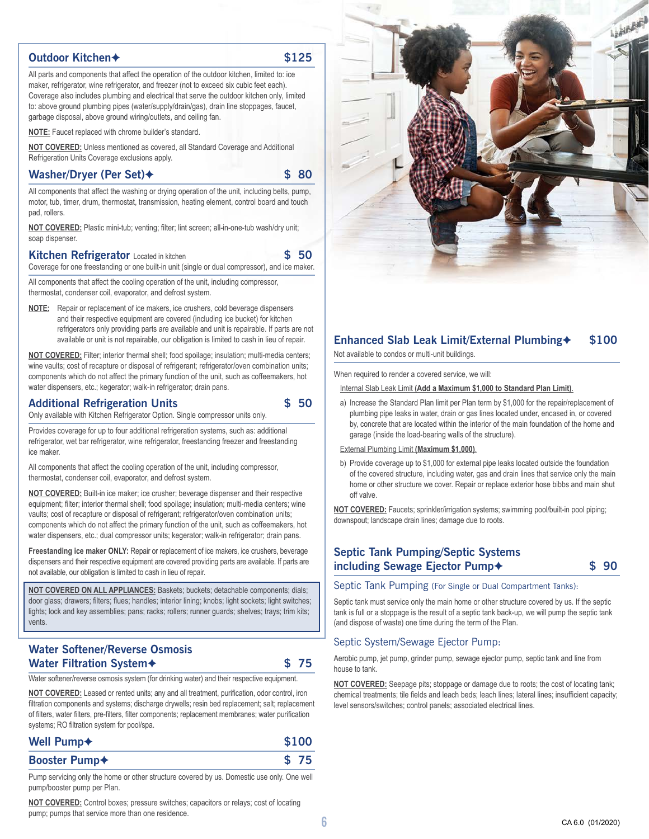#### **Outdoor Kitchen**✦ **\$125**

All parts and components that affect the operation of the outdoor kitchen, limited to: ice maker, refrigerator, wine refrigerator, and freezer (not to exceed six cubic feet each). Coverage also includes plumbing and electrical that serve the outdoor kitchen only, limited to: above ground plumbing pipes (water/supply/drain/gas), drain line stoppages, faucet, garbage disposal, above ground wiring/outlets, and ceiling fan.

**NOTE:** Faucet replaced with chrome builder's standard.

**NOT COVERED:** Unless mentioned as covered, all Standard Coverage and Additional Refrigeration Units Coverage exclusions apply.

#### **Washer/Dryer (Per Set)**✦ **\$ 80**

All components that affect the washing or drying operation of the unit, including belts, pump, motor, tub, timer, drum, thermostat, transmission, heating element, control board and touch pad, rollers.

**NOT COVERED:** Plastic mini-tub; venting; filter; lint screen; all-in-one-tub wash/dry unit; soap dispenser.

#### **Kitchen Refrigerator** Located in kitchen **1996 \$ 50**

Coverage for one freestanding or one built-in unit (single or dual compressor), and ice maker.

All components that affect the cooling operation of the unit, including compressor, thermostat, condenser coil, evaporator, and defrost system.

**NOTE:** Repair or replacement of ice makers, ice crushers, cold beverage dispensers and their respective equipment are covered (including ice bucket) for kitchen refrigerators only providing parts are available and unit is repairable. If parts are not available or unit is not repairable, our obligation is limited to cash in lieu of repair.

**NOT COVERED:** Filter; interior thermal shell; food spoilage; insulation; multi-media centers; wine vaults; cost of recapture or disposal of refrigerant; refrigerator/oven combination units; components which do not affect the primary function of the unit, such as coffeemakers, hot water dispensers, etc.; kegerator; walk-in refrigerator; drain pans.

#### **Additional Refrigeration Units \$ 50**

Only available with Kitchen Refrigerator Option. Single compressor units only.

Provides coverage for up to four additional refrigeration systems, such as: additional refrigerator, wet bar refrigerator, wine refrigerator, freestanding freezer and freestanding ice maker.

All components that affect the cooling operation of the unit, including compressor, thermostat, condenser coil, evaporator, and defrost system.

**NOT COVERED:** Built-in ice maker; ice crusher; beverage dispenser and their respective equipment; filter; interior thermal shell; food spoilage; insulation; multi-media centers; wine vaults; cost of recapture or disposal of refrigerant; refrigerator/oven combination units; components which do not affect the primary function of the unit, such as coffeemakers, hot water dispensers, etc.; dual compressor units; kegerator; walk-in refrigerator; drain pans.

**Freestanding ice maker ONLY:** Repair or replacement of ice makers, ice crushers, beverage dispensers and their respective equipment are covered providing parts are available. If parts are not available, our obligation is limited to cash in lieu of repair.

**NOT COVERED ON ALL APPLIANCES:** Baskets; buckets; detachable components; dials; door glass; drawers; filters; flues; handles; interior lining; knobs; light sockets; light switches; lights; lock and key assemblies; pans; racks; rollers; runner guards; shelves; trays; trim kits; vents.

#### **Water Softener/Reverse Osmosis Water Filtration System**✦ **\$ 75**

Water softener/reverse osmosis system (for drinking water) and their respective equipment.

**NOT COVERED:** Leased or rented units; any and all treatment, purification, odor control, iron filtration components and systems; discharge drywells; resin bed replacement; salt; replacement of filters, water filters, pre-filters, filter components; replacement membranes; water purification systems; RO filtration system for pool/spa.

| Well Pump <sup>+</sup>    | \$100 |      |
|---------------------------|-------|------|
| Booster Pump <sup>+</sup> |       | \$75 |

Pump servicing only the home or other structure covered by us. Domestic use only. One well pump/booster pump per Plan.

**NOT COVERED:** Control boxes; pressure switches; capacitors or relays; cost of locating pump; pumps that service more than one residence.



#### **Enhanced Slab Leak Limit/External Plumbing**✦ **\$100**

Not available to condos or multi-unit buildings.

When required to render a covered service, we will:

Internal Slab Leak Limit **(Add a Maximum \$1,000 to Standard Plan Limit)**.

a) Increase the Standard Plan limit per Plan term by \$1,000 for the repair/replacement of plumbing pipe leaks in water, drain or gas lines located under, encased in, or covered by, concrete that are located within the interior of the main foundation of the home and garage (inside the load-bearing walls of the structure).

External Plumbing Limit **(Maximum \$1,000)**.

b) Provide coverage up to \$1,000 for external pipe leaks located outside the foundation of the covered structure, including water, gas and drain lines that service only the main home or other structure we cover. Repair or replace exterior hose bibbs and main shut off valve.

**NOT COVERED:** Faucets; sprinkler/irrigation systems; swimming pool/built-in pool piping; downspout; landscape drain lines; damage due to roots.

#### **Septic Tank Pumping/Septic Systems including Sewage Ejector Pump**✦ **\$ 90**

Septic Tank Pumping (For Single or Dual Compartment Tanks):

Septic tank must service only the main home or other structure covered by us. If the septic tank is full or a stoppage is the result of a septic tank back-up, we will pump the septic tank (and dispose of waste) one time during the term of the Plan.

#### Septic System/Sewage Ejector Pump:

Aerobic pump, jet pump, grinder pump, sewage ejector pump, septic tank and line from house to tank.

**NOT COVERED:** Seepage pits; stoppage or damage due to roots; the cost of locating tank; chemical treatments; tile fields and leach beds; leach lines; lateral lines; insufficient capacity; level sensors/switches; control panels; associated electrical lines.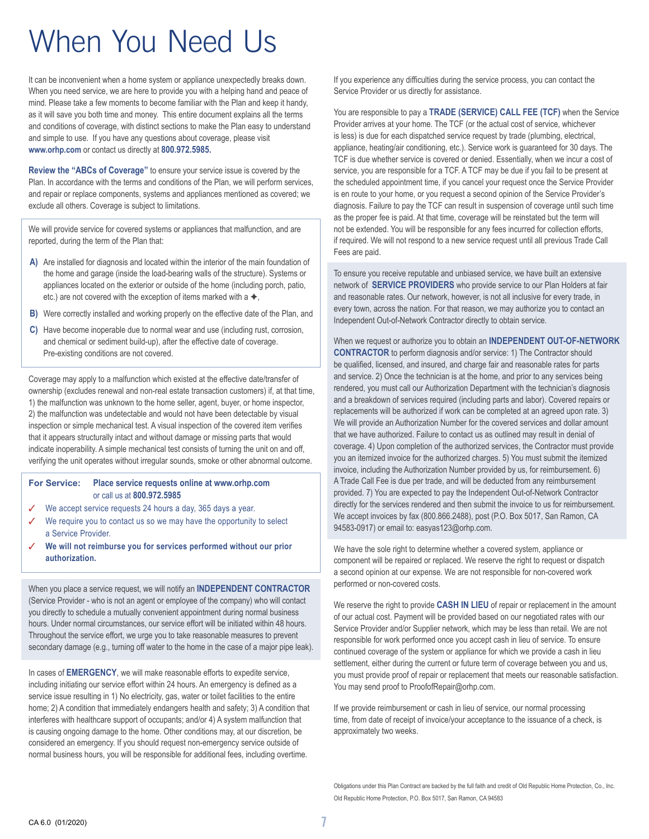### When You Need Us

It can be inconvenient when a home system or appliance unexpectedly breaks down. When you need service, we are here to provide you with a helping hand and peace of mind. Please take a few moments to become familiar with the Plan and keep it handy, as it will save you both time and money. This entire document explains all the terms and conditions of coverage, with distinct sections to make the Plan easy to understand and simple to use. If you have any questions about coverage, please visit **www.orhp.com** or contact us directly at **800.972.5985.**

**Review the "ABCs of Coverage"** to ensure your service issue is covered by the Plan. In accordance with the terms and conditions of the Plan, we will perform services, and repair or replace components, systems and appliances mentioned as covered; we exclude all others. Coverage is subject to limitations.

We will provide service for covered systems or appliances that malfunction, and are reported, during the term of the Plan that:

- **A)** Are installed for diagnosis and located within the interior of the main foundation of the home and garage (inside the load-bearing walls of the structure). Systems or appliances located on the exterior or outside of the home (including porch, patio, etc.) are not covered with the exception of items marked with a  $\blacklozenge$ ,
- **B)** Were correctly installed and working properly on the effective date of the Plan, and
- **C)** Have become inoperable due to normal wear and use (including rust, corrosion, and chemical or sediment build-up), after the effective date of coverage. Pre-existing conditions are not covered.

Coverage may apply to a malfunction which existed at the effective date/transfer of ownership (excludes renewal and non-real estate transaction customers) if, at that time, 1) the malfunction was unknown to the home seller, agent, buyer, or home inspector, 2) the malfunction was undetectable and would not have been detectable by visual inspection or simple mechanical test. A visual inspection of the covered item verifies that it appears structurally intact and without damage or missing parts that would indicate inoperability. A simple mechanical test consists of turning the unit on and off, verifying the unit operates without irregular sounds, smoke or other abnormal outcome.

#### **For Service: Place service requests online at www.orhp.com** or call us at **800.972.5985**

- ✓ We accept service requests 24 hours a day, 365 days a year.
- ✓ We require you to contact us so we may have the opportunity to select a Service Provider.
- ✓ **We will not reimburse you for services performed without our prior authorization.**

When you place a service request, we will notify an **INDEPENDENT CONTRACTOR**  (Service Provider - who is not an agent or employee of the company) who will contact you directly to schedule a mutually convenient appointment during normal business hours. Under normal circumstances, our service effort will be initiated within 48 hours. Throughout the service effort, we urge you to take reasonable measures to prevent secondary damage (e.g., turning off water to the home in the case of a major pipe leak).

In cases of **EMERGENCY**, we will make reasonable efforts to expedite service, including initiating our service effort within 24 hours. An emergency is defined as a service issue resulting in 1) No electricity, gas, water or toilet facilities to the entire home; 2) A condition that immediately endangers health and safety; 3) A condition that interferes with healthcare support of occupants; and/or 4) A system malfunction that is causing ongoing damage to the home. Other conditions may, at our discretion, be considered an emergency. If you should request non-emergency service outside of normal business hours, you will be responsible for additional fees, including overtime.

If you experience any difficulties during the service process, you can contact the Service Provider or us directly for assistance.

You are responsible to pay a **TRADE (SERVICE) CALL FEE (TCF)** when the Service Provider arrives at your home. The TCF (or the actual cost of service, whichever is less) is due for each dispatched service request by trade (plumbing, electrical, appliance, heating/air conditioning, etc.). Service work is guaranteed for 30 days. The TCF is due whether service is covered or denied. Essentially, when we incur a cost of service, you are responsible for a TCF. A TCF may be due if you fail to be present at the scheduled appointment time, if you cancel your request once the Service Provider is en route to your home, or you request a second opinion of the Service Provider's diagnosis. Failure to pay the TCF can result in suspension of coverage until such time as the proper fee is paid. At that time, coverage will be reinstated but the term will not be extended. You will be responsible for any fees incurred for collection efforts, if required. We will not respond to a new service request until all previous Trade Call Fees are paid.

To ensure you receive reputable and unbiased service, we have built an extensive network of **SERVICE PROVIDERS** who provide service to our Plan Holders at fair and reasonable rates. Our network, however, is not all inclusive for every trade, in every town, across the nation. For that reason, we may authorize you to contact an Independent Out-of-Network Contractor directly to obtain service.

When we request or authorize you to obtain an **INDEPENDENT OUT-OF-NETWORK CONTRACTOR** to perform diagnosis and/or service: 1) The Contractor should be qualified, licensed, and insured, and charge fair and reasonable rates for parts and service. 2) Once the technician is at the home, and prior to any services being rendered, you must call our Authorization Department with the technician's diagnosis and a breakdown of services required (including parts and labor). Covered repairs or replacements will be authorized if work can be completed at an agreed upon rate. 3) We will provide an Authorization Number for the covered services and dollar amount that we have authorized. Failure to contact us as outlined may result in denial of coverage. 4) Upon completion of the authorized services, the Contractor must provide you an itemized invoice for the authorized charges. 5) You must submit the itemized invoice, including the Authorization Number provided by us, for reimbursement. 6) A Trade Call Fee is due per trade, and will be deducted from any reimbursement provided. 7) You are expected to pay the Independent Out-of-Network Contractor directly for the services rendered and then submit the invoice to us for reimbursement. We accept invoices by fax (800.866.2488), post (P.O. Box 5017, San Ramon, CA 94583-0917) or email to: easyas123@orhp.com.

We have the sole right to determine whether a covered system, appliance or component will be repaired or replaced. We reserve the right to request or dispatch a second opinion at our expense. We are not responsible for non-covered work performed or non-covered costs.

We reserve the right to provide **CASH IN LIEU** of repair or replacement in the amount of our actual cost. Payment will be provided based on our negotiated rates with our Service Provider and/or Supplier network, which may be less than retail. We are not responsible for work performed once you accept cash in lieu of service. To ensure continued coverage of the system or appliance for which we provide a cash in lieu settlement, either during the current or future term of coverage between you and us, you must provide proof of repair or replacement that meets our reasonable satisfaction. You may send proof to ProofofRepair@orhp.com.

If we provide reimbursement or cash in lieu of service, our normal processing time, from date of receipt of invoice/your acceptance to the issuance of a check, is approximately two weeks.

Obligations under this Plan Contract are backed by the full faith and credit of Old Republic Home Protection, Co., Inc. Old Republic Home Protection, P.O. Box 5017, San Ramon, CA 94583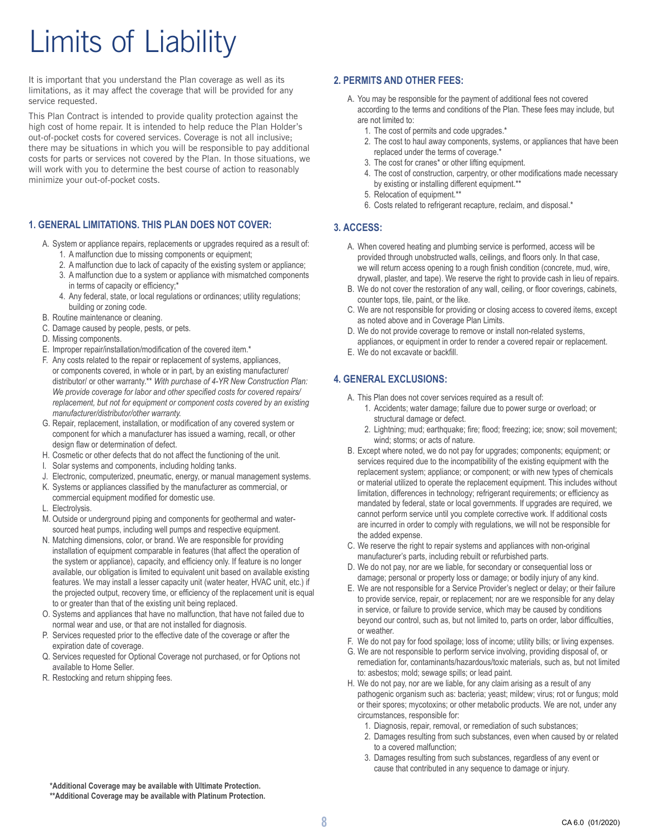### Limits of Liability

It is important that you understand the Plan coverage as well as its limitations, as it may affect the coverage that will be provided for any service requested.

This Plan Contract is intended to provide quality protection against the high cost of home repair. It is intended to help reduce the Plan Holder's out-of-pocket costs for covered services. Coverage is not all inclusive; there may be situations in which you will be responsible to pay additional costs for parts or services not covered by the Plan. In those situations, we will work with you to determine the best course of action to reasonably minimize your out-of-pocket costs.

#### **1. GENERAL LIMITATIONS. THIS PLAN DOES NOT COVER:**

- A. System or appliance repairs, replacements or upgrades required as a result of:
	- 1. A malfunction due to missing components or equipment;
	- 2. A malfunction due to lack of capacity of the existing system or appliance;
	- 3. A malfunction due to a system or appliance with mismatched components in terms of capacity or efficiency;\*
	- 4. Any federal, state, or local regulations or ordinances; utility regulations; building or zoning code.
- B. Routine maintenance or cleaning.
- C. Damage caused by people, pests, or pets.
- D. Missing components.
- E. Improper repair/installation/modification of the covered item.\*
- F. Any costs related to the repair or replacement of systems, appliances, or components covered, in whole or in part, by an existing manufacturer/ distributor/ or other warranty.\*\* *With purchase of 4-YR New Construction Plan: We provide coverage for labor and other specified costs for covered repairs/ replacement, but not for equipment or component costs covered by an existing manufacturer/distributor/other warranty.*
- G. Repair, replacement, installation, or modification of any covered system or component for which a manufacturer has issued a warning, recall, or other design flaw or determination of defect.
- H. Cosmetic or other defects that do not affect the functioning of the unit.
- I. Solar systems and components, including holding tanks.
- J. Electronic, computerized, pneumatic, energy, or manual management systems.
- K. Systems or appliances classified by the manufacturer as commercial, or commercial equipment modified for domestic use.
- L. Electrolysis.
- M. Outside or underground piping and components for geothermal and watersourced heat pumps, including well pumps and respective equipment.
- N. Matching dimensions, color, or brand. We are responsible for providing installation of equipment comparable in features (that affect the operation of the system or appliance), capacity, and efficiency only. If feature is no longer available, our obligation is limited to equivalent unit based on available existing features. We may install a lesser capacity unit (water heater, HVAC unit, etc.) if the projected output, recovery time, or efficiency of the replacement unit is equal to or greater than that of the existing unit being replaced.
- O. Systems and appliances that have no malfunction, that have not failed due to normal wear and use, or that are not installed for diagnosis.
- P. Services requested prior to the effective date of the coverage or after the expiration date of coverage.
- Q. Services requested for Optional Coverage not purchased, or for Options not available to Home Seller.
- R. Restocking and return shipping fees.

#### **2. PERMITS AND OTHER FEES:**

- A. You may be responsible for the payment of additional fees not covered according to the terms and conditions of the Plan. These fees may include, but are not limited to:
	- 1. The cost of permits and code upgrades.\*
	- 2. The cost to haul away components, systems, or appliances that have been replaced under the terms of coverage.\*
	- 3. The cost for cranes\* or other lifting equipment.
	- 4. The cost of construction, carpentry, or other modifications made necessary by existing or installing different equipment.\*\*
	- 5. Relocation of equipment.\*\*
	- 6. Costs related to refrigerant recapture, reclaim, and disposal.\*

#### **3. ACCESS:**

- A. When covered heating and plumbing service is performed, access will be provided through unobstructed walls, ceilings, and floors only. In that case, we will return access opening to a rough finish condition (concrete, mud, wire, drywall, plaster, and tape). We reserve the right to provide cash in lieu of repairs.
- B. We do not cover the restoration of any wall, ceiling, or floor coverings, cabinets, counter tops, tile, paint, or the like.
- C. We are not responsible for providing or closing access to covered items, except as noted above and in Coverage Plan Limits.
- D. We do not provide coverage to remove or install non-related systems, appliances, or equipment in order to render a covered repair or replacement.
- E. We do not excavate or backfill.

#### **4. GENERAL EXCLUSIONS:**

- A. This Plan does not cover services required as a result of:
	- 1. Accidents; water damage; failure due to power surge or overload; or structural damage or defect.
	- 2. Lightning; mud; earthquake; fire; flood; freezing; ice; snow; soil movement; wind; storms; or acts of nature.
- B. Except where noted, we do not pay for upgrades; components; equipment; or services required due to the incompatibility of the existing equipment with the replacement system; appliance; or component; or with new types of chemicals or material utilized to operate the replacement equipment. This includes without limitation, differences in technology; refrigerant requirements; or efficiency as mandated by federal, state or local governments. If upgrades are required, we cannot perform service until you complete corrective work. If additional costs are incurred in order to comply with regulations, we will not be responsible for the added expense.
- C. We reserve the right to repair systems and appliances with non-original manufacturer's parts, including rebuilt or refurbished parts.
- D. We do not pay, nor are we liable, for secondary or consequential loss or damage; personal or property loss or damage; or bodily injury of any kind.
- E. We are not responsible for a Service Provider's neglect or delay; or their failure to provide service, repair, or replacement; nor are we responsible for any delay in service, or failure to provide service, which may be caused by conditions beyond our control, such as, but not limited to, parts on order, labor difficulties, or weather.
- F. We do not pay for food spoilage; loss of income; utility bills; or living expenses.
- G. We are not responsible to perform service involving, providing disposal of, or remediation for, contaminants/hazardous/toxic materials, such as, but not limited to: asbestos; mold; sewage spills; or lead paint.
- H. We do not pay, nor are we liable, for any claim arising as a result of any pathogenic organism such as: bacteria; yeast; mildew; virus; rot or fungus; mold or their spores; mycotoxins; or other metabolic products. We are not, under any circumstances, responsible for:
	- 1. Diagnosis, repair, removal, or remediation of such substances;
	- 2. Damages resulting from such substances, even when caused by or related to a covered malfunction;
	- 3. Damages resulting from such substances, regardless of any event or cause that contributed in any sequence to damage or injury.

**<sup>\*</sup>Additional Coverage may be available with Ultimate Protection.** 

**<sup>\*\*</sup>Additional Coverage may be available with Platinum Protection.**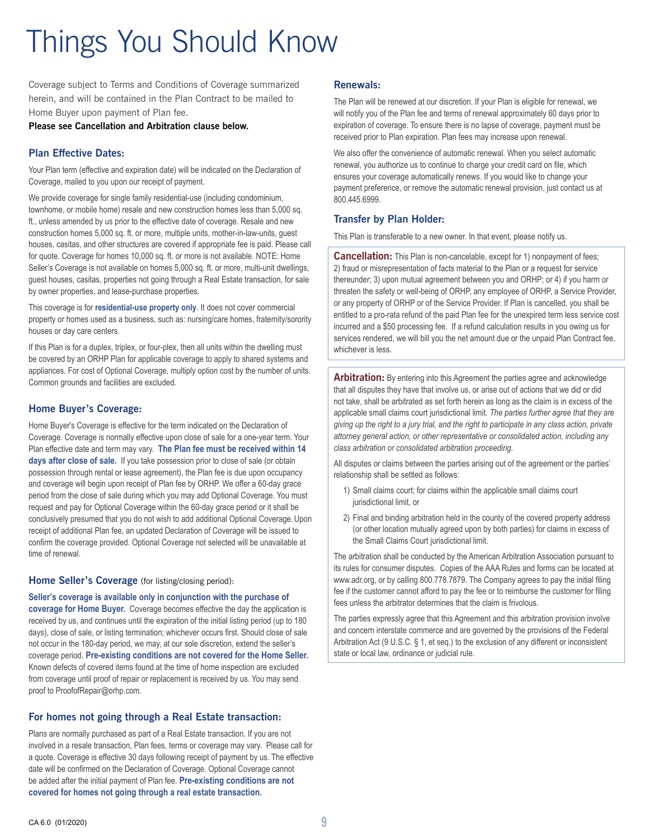# Things You Should Know

Coverage subject to Terms and Conditions of Coverage summarized herein, and will be contained in the Plan Contract to be mailed to Home Buyer upon payment of Plan fee.

**Please see Cancellation and Arbitration clause below.**

#### **Plan Effective Dates:**

Your Plan term (effective and expiration date) will be indicated on the Declaration of Coverage, mailed to you upon our receipt of payment.

We provide coverage for single family residential-use (including condominium, townhome, or mobile home) resale and new construction homes less than 5,000 sq. ft., unless amended by us prior to the effective date of coverage. Resale and new construction homes 5,000 sq. ft. or more, multiple units, mother-in-law-units, guest houses, casitas, and other structures are covered if appropriate fee is paid. Please call for quote. Coverage for homes 10,000 sq. ft. or more is not available. NOTE: Home Seller's Coverage is not available on homes 5,000 sq. ft. or more, multi-unit dwellings, guest houses, casitas, properties not going through a Real Estate transaction, for sale by owner properties, and lease-purchase properties.

This coverage is for **residential-use property only**. It does not cover commercial property or homes used as a business, such as: nursing/care homes, fraternity/sorority houses or day care centers.

If this Plan is for a duplex, triplex, or four-plex, then all units within the dwelling must be covered by an ORHP Plan for applicable coverage to apply to shared systems and appliances. For cost of Optional Coverage, multiply option cost by the number of units. Common grounds and facilities are excluded.

#### **Home Buyer's Coverage:**

Home Buyer's Coverage is effective for the term indicated on the Declaration of Coverage. Coverage is normally effective upon close of sale for a one-year term. Your Plan effective date and term may vary. **The Plan fee must be received within 14 days after close of sale.** If you take possession prior to close of sale (or obtain possession through rental or lease agreement), the Plan fee is due upon occupancy and coverage will begin upon receipt of Plan fee by ORHP. We offer a 60-day grace period from the close of sale during which you may add Optional Coverage. You must request and pay for Optional Coverage within the 60-day grace period or it shall be conclusively presumed that you do not wish to add additional Optional Coverage. Upon receipt of additional Plan fee, an updated Declaration of Coverage will be issued to confirm the coverage provided. Optional Coverage not selected will be unavailable at time of renewal.

**Home Seller's Coverage** (for listing/closing period):

**Seller's coverage is available only in conjunction with the purchase of coverage for Home Buyer.** Coverage becomes effective the day the application is received by us, and continues until the expiration of the initial listing period (up to 180 days), close of sale, or listing termination; whichever occurs first. Should close of sale not occur in the 180-day period, we may, at our sole discretion, extend the seller's coverage period. **Pre-existing conditions are not covered for the Home Seller.** Known defects of covered items found at the time of home inspection are excluded from coverage until proof of repair or replacement is received by us. You may send proof to ProofofRepair@orhp.com.

#### **For homes not going through a Real Estate transaction:**

Plans are normally purchased as part of a Real Estate transaction. If you are not involved in a resale transaction, Plan fees, terms or coverage may vary. Please call for a quote. Coverage is effective 30 days following receipt of payment by us. The effective date will be confirmed on the Declaration of Coverage. Optional Coverage cannot be added after the initial payment of Plan fee. **Pre-existing conditions are not covered for homes not going through a real estate transaction.**

#### **Renewals:**

The Plan will be renewed at our discretion. If your Plan is eligible for renewal, we will notify you of the Plan fee and terms of renewal approximately 60 days prior to expiration of coverage. To ensure there is no lapse of coverage, payment must be received prior to Plan expiration. Plan fees may increase upon renewal.

We also offer the convenience of automatic renewal. When you select automatic renewal, you authorize us to continue to charge your credit card on file, which ensures your coverage automatically renews. If you would like to change your payment preference, or remove the automatic renewal provision, just contact us at 800.445.6999.

#### **Transfer by Plan Holder:**

This Plan is transferable to a new owner. In that event, please notify us.

**Cancellation:** This Plan is non-cancelable, except for 1) nonpayment of fees; 2) fraud or misrepresentation of facts material to the Plan or a request for service thereunder; 3) upon mutual agreement between you and ORHP; or 4) if you harm or threaten the safety or well-being of ORHP, any employee of ORHP, a Service Provider, or any property of ORHP or of the Service Provider. If Plan is cancelled, you shall be entitled to a pro-rata refund of the paid Plan fee for the unexpired term less service cost incurred and a \$50 processing fee. If a refund calculation results in you owing us for services rendered, we will bill you the net amount due or the unpaid Plan Contract fee, whichever is less.

**Arbitration:** By entering into this Agreement the parties agree and acknowledge that all disputes they have that involve us, or arise out of actions that we did or did not take, shall be arbitrated as set forth herein as long as the claim is in excess of the applicable small claims court jurisdictional limit. *The parties further agree that they are giving up the right to a jury trial, and the right to participate in any class action, private attorney general action, or other representative or consolidated action, including any class arbitration or consolidated arbitration proceeding.*

All disputes or claims between the parties arising out of the agreement or the parties' relationship shall be settled as follows:

- 1) Small claims court; for claims within the applicable small claims court jurisdictional limit, or
- 2) Final and binding arbitration held in the county of the covered property address (or other location mutually agreed upon by both parties) for claims in excess of the Small Claims Court jurisdictional limit.

The arbitration shall be conducted by the American Arbitration Association pursuant to its rules for consumer disputes. Copies of the AAA Rules and forms can be located at www.adr.org, or by calling 800.778.7879. The Company agrees to pay the initial filing fee if the customer cannot afford to pay the fee or to reimburse the customer for filing fees unless the arbitrator determines that the claim is frivolous.

The parties expressly agree that this Agreement and this arbitration provision involve and concern interstate commerce and are governed by the provisions of the Federal Arbitration Act (9 U.S.C. § 1, et seq.) to the exclusion of any different or inconsistent state or local law, ordinance or judicial rule.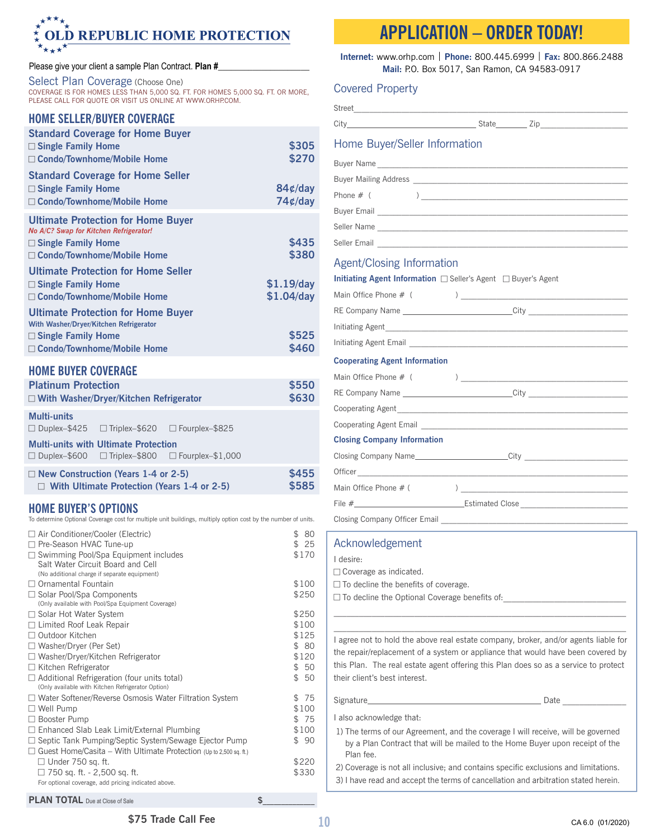#### $\star^{\star\star\star}$ **LD REPUBLIC HOME PROTECTION** O  $\star_{\star\star\star}\star$

#### Please give your client a sample Plan Contract. Plan #\_

Select Plan Coverage (Choose One) COVERAGE IS FOR HOMES LESS THAN 5,000 SQ. FT. FOR HOMES 5,000 SQ. FT. OR MORE, PLEASE CALL FOR QUOTE OR VISIT US ONLINE AT WWW.ORHP.COM.

### **HOME SELLER/BUYER COVERAGE**

| <b>Standard Coverage for Home Buyer</b><br>$\Box$ Single Family Home<br>□ Condo/Townhome/Mobile Home                                             | \$305<br>\$270               |
|--------------------------------------------------------------------------------------------------------------------------------------------------|------------------------------|
| <b>Standard Coverage for Home Seller</b><br>$\Box$ Single Family Home<br>□ Condo/Townhome/Mobile Home                                            | $84¢$ /day<br>$74¢$ /day     |
| <b>Ultimate Protection for Home Buyer</b><br>No A/C? Swap for Kitchen Refrigerator!<br>$\Box$ Single Family Home                                 | \$435                        |
| □ Condo/Townhome/Mobile Home                                                                                                                     | \$380                        |
| <b>Ultimate Protection for Home Seller</b><br>$\Box$ Single Family Home<br>□ Condo/Townhome/Mobile Home                                          | $$1.19$ /day<br>$$1.04$ /day |
| <b>Ultimate Protection for Home Buyer</b><br>With Washer/Dryer/Kitchen Refrigerator<br>$\Box$ Single Family Home<br>□ Condo/Townhome/Mobile Home | \$525<br>\$460               |
| <b>UAME DIIVED CAVEDACE</b>                                                                                                                      |                              |

#### **HOME BUYER COVERAGE**

| <b>Platinum Protection</b> |                                               | \$550                 |       |
|----------------------------|-----------------------------------------------|-----------------------|-------|
|                            | $\Box$ With Washer/Dryer/Kitchen Refrigerator |                       | \$630 |
| Multi-units                |                                               |                       |       |
| $\Box$ Duplex-\$425        | $\Box$ Triplex-\$620                          | $\Box$ Fourplex-\$825 |       |

#### **Multi-units with Ultimate Protection**

| <b>IVIGHTUILLE WILLI OILIIIQLE I IULECHUI</b> |                      |                         |
|-----------------------------------------------|----------------------|-------------------------|
| $\Box$ Duplex-\$600                           | $\Box$ Triplex-\$800 | $\Box$ Fourplex-\$1,000 |

| $\Box$ New Construction (Years 1-4 or 2-5)         | \$455 |
|----------------------------------------------------|-------|
| $\Box$ With Ultimate Protection (Years 1-4 or 2-5) | \$585 |

#### **HOME BUYER'S OPTIONS**

To determine Optional Coverage cost for multiple unit buildings, multiply option cost by the number of units.

| □ Air Conditioner/Cooler (Electric)<br>□ Pre-Season HVAC Tune-up                                                                   | \$<br>80<br>\$<br>25 |
|------------------------------------------------------------------------------------------------------------------------------------|----------------------|
| □ Swimming Pool/Spa Equipment includes<br>Salt Water Circuit Board and Cell<br>(No additional charge if separate equipment)        | \$170                |
| $\Box$ Ornamental Fountain                                                                                                         | \$100                |
| $\Box$ Solar Pool/Spa Components<br>(Only available with Pool/Spa Equipment Coverage)                                              | \$250                |
| $\Box$ Solar Hot Water System                                                                                                      | \$250                |
| $\Box$ Limited Roof Leak Repair                                                                                                    | \$100                |
| □ Outdoor Kitchen                                                                                                                  | \$125                |
| □ Washer/Dryer (Per Set)                                                                                                           | \$ 80                |
| $\Box$ Washer/Dryer/Kitchen Refrigerator                                                                                           | \$120                |
| $\Box$ Kitchen Refrigerator                                                                                                        | \$50                 |
| $\Box$ Additional Refrigeration (four units total)<br>(Only available with Kitchen Refrigerator Option)                            | \$50                 |
| $\Box$ Water Softener/Reverse Osmosis Water Filtration System                                                                      | 75<br>\$             |
| $\Box$ Well Pump                                                                                                                   | \$100                |
| Booster Pump                                                                                                                       | \$75                 |
| Enhanced Slab Leak Limit/External Plumbing                                                                                         | \$100                |
| $\Box$ Septic Tank Pumping/Septic System/Sewage Ejector Pump<br>Guest Home/Casita – With Ultimate Protection (Up to 2,500 sq. ft.) | \$90                 |
| $\Box$ Under 750 sq. ft.                                                                                                           | \$220                |
| □ 750 sq. ft. - 2,500 sq. ft.<br>For optional coverage, add pricing indicated above.                                               | \$330                |
| <b>PLAN TOTAL</b> Due at Close of Sale                                                                                             | \$                   |

### **APPLICATION – ORDER TODAY!**

**Internet:** www.orhp.com | **Phone:** 800.445.6999 | **Fax:** 800.866.2488 **Mail:** P.O. Box 5017, San Ramon, CA 94583-0917

#### Covered Property

| Home Buyer/Seller Information               |                                                                                                                                                                                                                                                                                                                                                                    |
|---------------------------------------------|--------------------------------------------------------------------------------------------------------------------------------------------------------------------------------------------------------------------------------------------------------------------------------------------------------------------------------------------------------------------|
|                                             |                                                                                                                                                                                                                                                                                                                                                                    |
|                                             |                                                                                                                                                                                                                                                                                                                                                                    |
| Phone $# ($                                 | $\begin{picture}(150,10) \put(0,0){\vector(1,0){100}} \put(15,0){\vector(1,0){100}} \put(15,0){\vector(1,0){100}} \put(15,0){\vector(1,0){100}} \put(15,0){\vector(1,0){100}} \put(15,0){\vector(1,0){100}} \put(15,0){\vector(1,0){100}} \put(15,0){\vector(1,0){100}} \put(15,0){\vector(1,0){100}} \put(15,0){\vector(1,0){100}} \put(15,0){\vector(1,0){100}}$ |
|                                             | Buyer Email <b>Supervisor</b> Contract Contract Contract Contract Contract Contract Contract Contract Contract Contract Contract Contract Contract Contract Contract Contract Contract Contract Contract Contract Contract Contract                                                                                                                                |
|                                             |                                                                                                                                                                                                                                                                                                                                                                    |
|                                             |                                                                                                                                                                                                                                                                                                                                                                    |
| <b>Agent/Closing Information</b>            |                                                                                                                                                                                                                                                                                                                                                                    |
|                                             | Initiating Agent Information $\Box$ Seller's Agent $\Box$ Buyer's Agent                                                                                                                                                                                                                                                                                            |
|                                             |                                                                                                                                                                                                                                                                                                                                                                    |
|                                             | RE Company Name ______________________________City _____________________________                                                                                                                                                                                                                                                                                   |
|                                             |                                                                                                                                                                                                                                                                                                                                                                    |
|                                             |                                                                                                                                                                                                                                                                                                                                                                    |
| <b>Cooperating Agent Information</b>        |                                                                                                                                                                                                                                                                                                                                                                    |
|                                             |                                                                                                                                                                                                                                                                                                                                                                    |
|                                             | RE Company Name ___________________________City ________________________________                                                                                                                                                                                                                                                                                   |
|                                             |                                                                                                                                                                                                                                                                                                                                                                    |
|                                             |                                                                                                                                                                                                                                                                                                                                                                    |
| <b>Closing Company Information</b>          |                                                                                                                                                                                                                                                                                                                                                                    |
|                                             | Closing Company Name_________________________City ______________________________                                                                                                                                                                                                                                                                                   |
|                                             | Officer <b>and the contract of the contract of the contract of the contract of the contract of the contract of the contract of the contract of the contract of the contract of the contract of the contract of the contract of t</b>                                                                                                                               |
|                                             |                                                                                                                                                                                                                                                                                                                                                                    |
|                                             |                                                                                                                                                                                                                                                                                                                                                                    |
|                                             |                                                                                                                                                                                                                                                                                                                                                                    |
| Acknowledgement                             |                                                                                                                                                                                                                                                                                                                                                                    |
| I desire:                                   |                                                                                                                                                                                                                                                                                                                                                                    |
| □ Coverage as indicated.                    |                                                                                                                                                                                                                                                                                                                                                                    |
| $\Box$ To decline the benefits of coverage. |                                                                                                                                                                                                                                                                                                                                                                    |
|                                             | $\Box$ To decline the Optional Coverage benefits of:                                                                                                                                                                                                                                                                                                               |
|                                             |                                                                                                                                                                                                                                                                                                                                                                    |
| their client's best interest.               | I agree not to hold the above real estate company, broker, and/or agents liable for<br>the repair/replacement of a system or appliance that would have been covered by<br>this Plan. The real estate agent offering this Plan does so as a service to protect                                                                                                      |
|                                             |                                                                                                                                                                                                                                                                                                                                                                    |
| I also acknowledge that:                    |                                                                                                                                                                                                                                                                                                                                                                    |
| Plan fee.                                   | 1) The terms of our Agreement, and the coverage I will receive, will be governed<br>by a Plan Contract that will be mailed to the Home Buyer upon receipt of the                                                                                                                                                                                                   |
|                                             | 2) Coverage is not all inclusive; and contains specific exclusions and limitations.<br>3) I have read and accept the terms of cancellation and arbitration stated herein.                                                                                                                                                                                          |